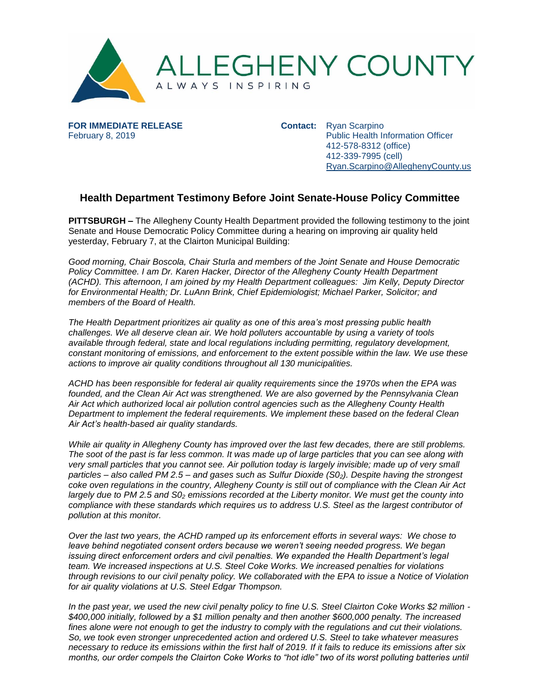

**FOR IMMEDIATE RELEASE** February 8, 2019

**Contact:** Ryan Scarpino Public Health Information Officer 412-578-8312 (office) 412-339-7995 (cell) [Ryan.Scarpino@AlleghenyCounty.us](mailto:Ryan.Scarpino@AlleghenyCounty.us)

## **Health Department Testimony Before Joint Senate-House Policy Committee**

**PITTSBURGH –** The Allegheny County Health Department provided the following testimony to the joint Senate and House Democratic Policy Committee during a hearing on improving air quality held yesterday, February 7, at the Clairton Municipal Building:

*Good morning, Chair Boscola, Chair Sturla and members of the Joint Senate and House Democratic Policy Committee. I am Dr. Karen Hacker, Director of the Allegheny County Health Department (ACHD). This afternoon, I am joined by my Health Department colleagues: Jim Kelly, Deputy Director for Environmental Health; Dr. LuAnn Brink, Chief Epidemiologist; Michael Parker, Solicitor; and members of the Board of Health.* 

*The Health Department prioritizes air quality as one of this area's most pressing public health challenges. We all deserve clean air. We hold polluters accountable by using a variety of tools available through federal, state and local regulations including permitting, regulatory development, constant monitoring of emissions, and enforcement to the extent possible within the law. We use these actions to improve air quality conditions throughout all 130 municipalities.* 

*ACHD has been responsible for federal air quality requirements since the 1970s when the EPA was founded, and the Clean Air Act was strengthened. We are also governed by the Pennsylvania Clean Air Act which authorized local air pollution control agencies such as the Allegheny County Health Department to implement the federal requirements. We implement these based on the federal Clean Air Act's health-based air quality standards.* 

*While air quality in Allegheny County has improved over the last few decades, there are still problems. The soot of the past is far less common. It was made up of large particles that you can see along with very small particles that you cannot see. Air pollution today is largely invisible; made up of very small particles – also called PM 2.5 – and gases such as Sulfur Dioxide (S02). Despite having the strongest coke oven regulations in the country, Allegheny County is still out of compliance with the Clean Air Act largely due to PM 2.5 and S0<sup>2</sup> emissions recorded at the Liberty monitor. We must get the county into compliance with these standards which requires us to address U.S. Steel as the largest contributor of pollution at this monitor.* 

*Over the last two years, the ACHD ramped up its enforcement efforts in several ways: We chose to leave behind negotiated consent orders because we weren't seeing needed progress. We began issuing direct enforcement orders and civil penalties. We expanded the Health Department's legal team. We increased inspections at U.S. Steel Coke Works. We increased penalties for violations through revisions to our civil penalty policy. We collaborated with the EPA to issue a Notice of Violation for air quality violations at U.S. Steel Edgar Thompson.* 

*In the past year, we used the new civil penalty policy to fine U.S. Steel Clairton Coke Works \$2 million - \$400,000 initially, followed by a \$1 million penalty and then another \$600,000 penalty. The increased fines alone were not enough to get the industry to comply with the regulations and cut their violations. So, we took even stronger unprecedented action and ordered U.S. Steel to take whatever measures necessary to reduce its emissions within the first half of 2019. If it fails to reduce its emissions after six months, our order compels the Clairton Coke Works to "hot idle" two of its worst polluting batteries until*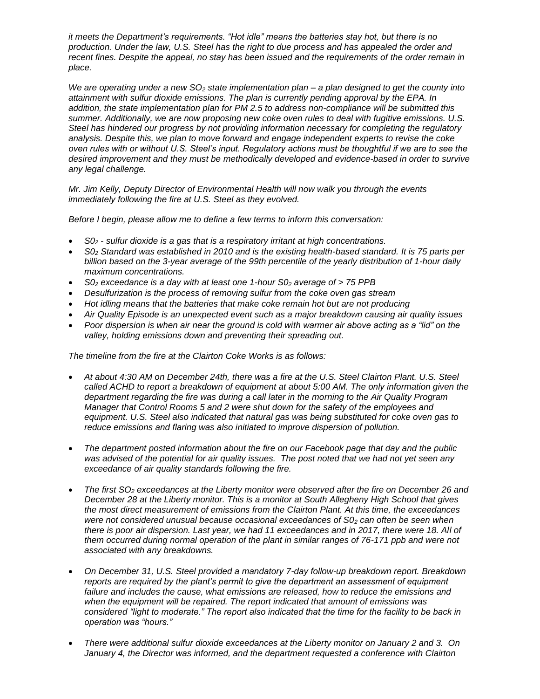*it meets the Department's requirements. "Hot idle" means the batteries stay hot, but there is no production. Under the law, U.S. Steel has the right to due process and has appealed the order and recent fines. Despite the appeal, no stay has been issued and the requirements of the order remain in place.* 

*We are operating under a new SO<sup>2</sup> state implementation plan – a plan designed to get the county into attainment with sulfur dioxide emissions. The plan is currently pending approval by the EPA. In addition, the state implementation plan for PM 2.5 to address non-compliance will be submitted this summer. Additionally, we are now proposing new coke oven rules to deal with fugitive emissions. U.S. Steel has hindered our progress by not providing information necessary for completing the regulatory analysis. Despite this, we plan to move forward and engage independent experts to revise the coke oven rules with or without U.S. Steel's input. Regulatory actions must be thoughtful if we are to see the desired improvement and they must be methodically developed and evidence-based in order to survive any legal challenge.*

*Mr. Jim Kelly, Deputy Director of Environmental Health will now walk you through the events immediately following the fire at U.S. Steel as they evolved.*

*Before I begin, please allow me to define a few terms to inform this conversation:*

- *S0<sup>2</sup> - sulfur dioxide is a gas that is a respiratory irritant at high concentrations.*
- *S0<sup>2</sup> Standard was established in 2010 and is the existing health-based standard. It is 75 parts per billion based on the 3-year average of the 99th percentile of the yearly distribution of 1-hour daily maximum concentrations.*
- *S0<sup>2</sup> exceedance is a day with at least one 1-hour S0<sup>2</sup> average of > 75 PPB*
- *Desulfurization is the process of removing sulfur from the coke oven gas stream*
- *Hot idling means that the batteries that make coke remain hot but are not producing*
- *Air Quality Episode is an unexpected event such as a major breakdown causing air quality issues*
- *Poor dispersion is when air near the ground is cold with warmer air above acting as a "lid" on the valley, holding emissions down and preventing their spreading out.*

*The timeline from the fire at the Clairton Coke Works is as follows:*

- *At about 4:30 AM on December 24th, there was a fire at the U.S. Steel Clairton Plant. U.S. Steel called ACHD to report a breakdown of equipment at about 5:00 AM. The only information given the department regarding the fire was during a call later in the morning to the Air Quality Program Manager that Control Rooms 5 and 2 were shut down for the safety of the employees and equipment. U.S. Steel also indicated that natural gas was being substituted for coke oven gas to reduce emissions and flaring was also initiated to improve dispersion of pollution.*
- *The department posted information about the fire on our Facebook page that day and the public was advised of the potential for air quality issues. The post noted that we had not yet seen any exceedance of air quality standards following the fire.*
- *The first SO<sup>2</sup> exceedances at the Liberty monitor were observed after the fire on December 26 and December 28 at the Liberty monitor. This is a monitor at South Allegheny High School that gives the most direct measurement of emissions from the Clairton Plant. At this time, the exceedances were not considered unusual because occasional exceedances of S0<sup>2</sup> can often be seen when there is poor air dispersion. Last year, we had 11 exceedances and in 2017, there were 18. All of them occurred during normal operation of the plant in similar ranges of 76-171 ppb and were not associated with any breakdowns.*
- *On December 31, U.S. Steel provided a mandatory 7-day follow-up breakdown report. Breakdown reports are required by the plant's permit to give the department an assessment of equipment*  failure and includes the cause, what emissions are released, how to reduce the emissions and *when the equipment will be repaired. The report indicated that amount of emissions was considered "light to moderate." The report also indicated that the time for the facility to be back in operation was "hours."*
- *There were additional sulfur dioxide exceedances at the Liberty monitor on January 2 and 3. On January 4, the Director was informed, and the department requested a conference with Clairton*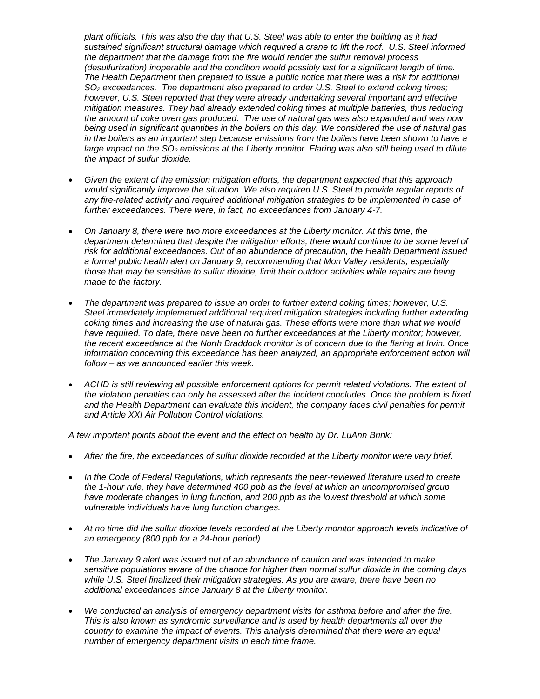*plant officials. This was also the day that U.S. Steel was able to enter the building as it had sustained significant structural damage which required a crane to lift the roof. U.S. Steel informed the department that the damage from the fire would render the sulfur removal process (desulfurization) inoperable and the condition would possibly last for a significant length of time. The Health Department then prepared to issue a public notice that there was a risk for additional SO<sup>2</sup> exceedances. The department also prepared to order U.S. Steel to extend coking times; however, U.S. Steel reported that they were already undertaking several important and effective mitigation measures. They had already extended coking times at multiple batteries, thus reducing the amount of coke oven gas produced. The use of natural gas was also expanded and was now being used in significant quantities in the boilers on this day. We considered the use of natural gas in the boilers as an important step because emissions from the boilers have been shown to have a large impact on the SO<sup>2</sup> emissions at the Liberty monitor. Flaring was also still being used to dilute the impact of sulfur dioxide.* 

- *Given the extent of the emission mitigation efforts, the department expected that this approach*  would significantly improve the situation. We also required U.S. Steel to provide regular reports of *any fire-related activity and required additional mitigation strategies to be implemented in case of further exceedances. There were, in fact, no exceedances from January 4-7.*
- *On January 8, there were two more exceedances at the Liberty monitor. At this time, the department determined that despite the mitigation efforts, there would continue to be some level of risk for additional exceedances. Out of an abundance of precaution, the Health Department issued a formal public health alert on January 9, recommending that Mon Valley residents, especially those that may be sensitive to sulfur dioxide, limit their outdoor activities while repairs are being made to the factory.*
- *The department was prepared to issue an order to further extend coking times; however, U.S. Steel immediately implemented additional required mitigation strategies including further extending coking times and increasing the use of natural gas. These efforts were more than what we would*  have required. To date, there have been no further exceedances at the Liberty monitor; however, *the recent exceedance at the North Braddock monitor is of concern due to the flaring at Irvin. Once information concerning this exceedance has been analyzed, an appropriate enforcement action will follow – as we announced earlier this week.*
- *ACHD is still reviewing all possible enforcement options for permit related violations. The extent of the violation penalties can only be assessed after the incident concludes. Once the problem is fixed and the Health Department can evaluate this incident, the company faces civil penalties for permit and Article XXI Air Pollution Control violations.*

*A few important points about the event and the effect on health by Dr. LuAnn Brink:*

- *After the fire, the exceedances of sulfur dioxide recorded at the Liberty monitor were very brief.*
- *In the Code of Federal Regulations, which represents the peer-reviewed literature used to create the 1-hour rule, they have determined 400 ppb as the level at which an uncompromised group*  have moderate changes in lung function, and 200 ppb as the lowest threshold at which some *vulnerable individuals have lung function changes.*
- *At no time did the sulfur dioxide levels recorded at the Liberty monitor approach levels indicative of an emergency (800 ppb for a 24-hour period)*
- *The January 9 alert was issued out of an abundance of caution and was intended to make sensitive populations aware of the chance for higher than normal sulfur dioxide in the coming days while U.S. Steel finalized their mitigation strategies. As you are aware, there have been no additional exceedances since January 8 at the Liberty monitor.*
- *We conducted an analysis of emergency department visits for asthma before and after the fire. This is also known as syndromic surveillance and is used by health departments all over the country to examine the impact of events. This analysis determined that there were an equal number of emergency department visits in each time frame.*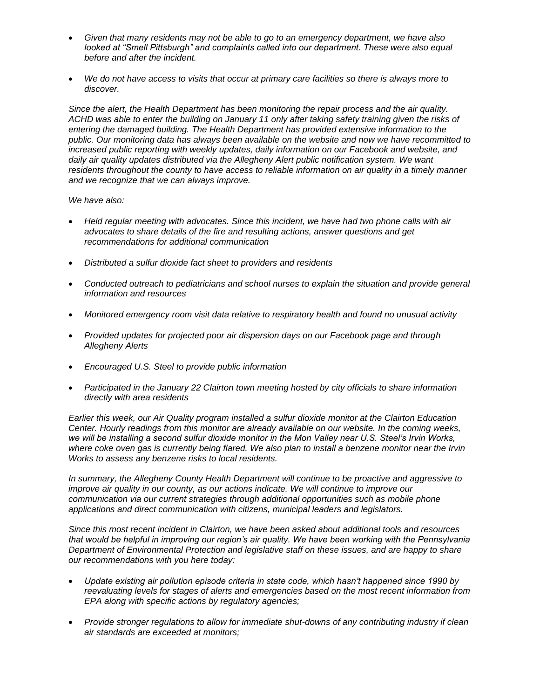- *Given that many residents may not be able to go to an emergency department, we have also looked at "Smell Pittsburgh" and complaints called into our department. These were also equal before and after the incident.*
- *We do not have access to visits that occur at primary care facilities so there is always more to discover.*

*Since the alert, the Health Department has been monitoring the repair process and the air quality. ACHD was able to enter the building on January 11 only after taking safety training given the risks of entering the damaged building. The Health Department has provided extensive information to the public. Our monitoring data has always been available on the website and now we have recommitted to increased public reporting with weekly updates, daily information on our Facebook and website, and*  daily air quality updates distributed via the Allegheny Alert public notification system. We want *residents throughout the county to have access to reliable information on air quality in a timely manner and we recognize that we can always improve.* 

*We have also:* 

- *Held regular meeting with advocates. Since this incident, we have had two phone calls with air advocates to share details of the fire and resulting actions, answer questions and get recommendations for additional communication*
- *Distributed a sulfur dioxide fact sheet to providers and residents*
- *Conducted outreach to pediatricians and school nurses to explain the situation and provide general information and resources*
- *Monitored emergency room visit data relative to respiratory health and found no unusual activity*
- *Provided updates for projected poor air dispersion days on our Facebook page and through Allegheny Alerts*
- *Encouraged U.S. Steel to provide public information*
- *Participated in the January 22 Clairton town meeting hosted by city officials to share information directly with area residents*

*Earlier this week, our Air Quality program installed a sulfur dioxide monitor at the Clairton Education Center. Hourly readings from this monitor are already available on our website. In the coming weeks, we will be installing a second sulfur dioxide monitor in the Mon Valley near U.S. Steel's Irvin Works, where coke oven gas is currently being flared. We also plan to install a benzene monitor near the Irvin Works to assess any benzene risks to local residents.* 

*In summary, the Allegheny County Health Department will continue to be proactive and aggressive to improve air quality in our county, as our actions indicate. We will continue to improve our communication via our current strategies through additional opportunities such as mobile phone applications and direct communication with citizens, municipal leaders and legislators.* 

*Since this most recent incident in Clairton, we have been asked about additional tools and resources that would be helpful in improving our region's air quality. We have been working with the Pennsylvania Department of Environmental Protection and legislative staff on these issues, and are happy to share our recommendations with you here today:*

- *Update existing air pollution episode criteria in state code, which hasn't happened since 1990 by reevaluating levels for stages of alerts and emergencies based on the most recent information from EPA along with specific actions by regulatory agencies;*
- *Provide stronger regulations to allow for immediate shut-downs of any contributing industry if clean air standards are exceeded at monitors;*